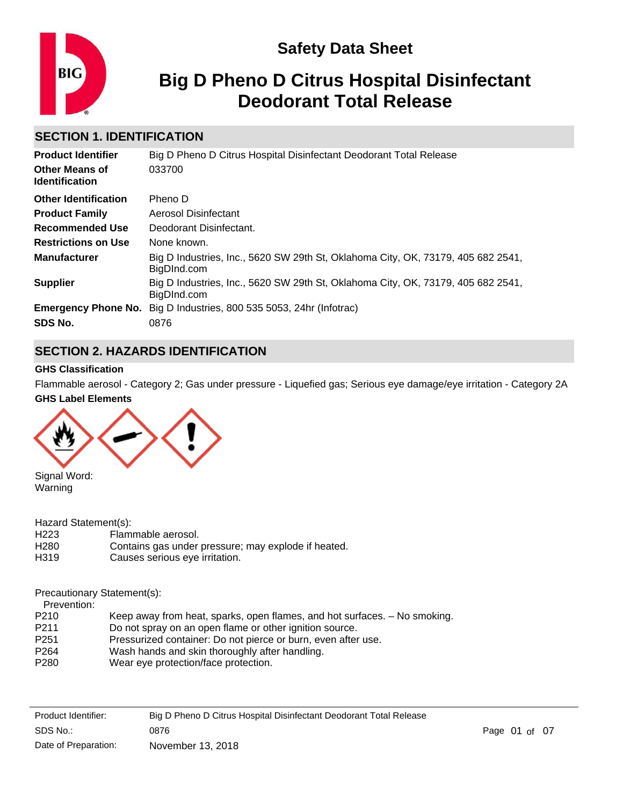

# **Safety Data Sheet**

# **Big D Pheno D Citrus Hospital Disinfectant Deodorant Total Release**

# **SECTION 1. IDENTIFICATION**

| <b>Product Identifier</b>                      | Big D Pheno D Citrus Hospital Disinfectant Deodorant Total Release                              |
|------------------------------------------------|-------------------------------------------------------------------------------------------------|
| <b>Other Means of</b><br><b>Identification</b> | 033700                                                                                          |
| <b>Other Identification</b>                    | Pheno D                                                                                         |
| <b>Product Family</b>                          | Aerosol Disinfectant                                                                            |
| Recommended Use                                | Deodorant Disinfectant.                                                                         |
| <b>Restrictions on Use</b>                     | None known.                                                                                     |
| <b>Manufacturer</b>                            | Big D Industries, Inc., 5620 SW 29th St, Oklahoma City, OK, 73179, 405 682 2541,<br>BigDInd.com |
| <b>Supplier</b>                                | Big D Industries, Inc., 5620 SW 29th St, Oklahoma City, OK, 73179, 405 682 2541,<br>BigDInd.com |
|                                                | <b>Emergency Phone No.</b> Big D Industries, 800 535 5053, 24hr (Infotrac)                      |
| SDS No.                                        | 0876                                                                                            |

# **SECTION 2. HAZARDS IDENTIFICATION**

### **GHS Classification**

**GHS Label Elements** Flammable aerosol - Category 2; Gas under pressure - Liquefied gas; Serious eye damage/eye irritation - Category 2A



Signal Word: Warning

Hazard Statement(s):

| H <sub>223</sub> | Flammable aerosol.                                  |
|------------------|-----------------------------------------------------|
| H <sub>280</sub> | Contains gas under pressure; may explode if heated. |
| H319             | Causes serious eye irritation.                      |

#### Precautionary Statement(s):

Prevention:<br>P210

- Keep away from heat, sparks, open flames, and hot surfaces.  $-$  No smoking.
- P211 Do not spray on an open flame or other ignition source.
- P251 Pressurized container: Do not pierce or burn, even after use.
- P264 Wash hands and skin thoroughly after handling.
- P280 Wear eye protection/face protection.

| Product Identifier:  | Big D Pheno D Citrus Hospital Disinfectant Deodorant Total Release |               |  |
|----------------------|--------------------------------------------------------------------|---------------|--|
| SDS No.:             | 0876                                                               | Page 01 of 07 |  |
| Date of Preparation: | November 13, 2018                                                  |               |  |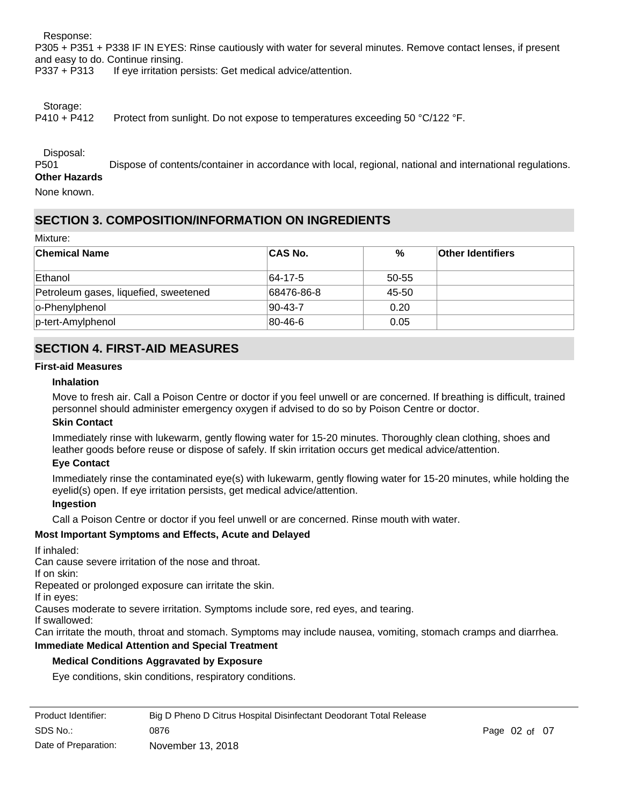Response:

P305 + P351 + P338 IF IN EYES: Rinse cautiously with water for several minutes. Remove contact lenses, if present and easy to do. Continue rinsing.

P337 + P313 If eye irritation persists: Get medical advice/attention.

Storage:

P410 + P412 Protect from sunlight. Do not expose to temperatures exceeding 50 °C/122 °F.

Disposal:

P501 Dispose of contents/container in accordance with local, regional, national and international regulations. **Other Hazards**

None known.

# **SECTION 3. COMPOSITION/INFORMATION ON INGREDIENTS**

Mixture:

| <b>Chemical Name</b>                  | ∣CAS No.      | %     | <b>Other Identifiers</b> |
|---------------------------------------|---------------|-------|--------------------------|
| Ethanol                               | $ 64-17-5 $   | 50-55 |                          |
| Petroleum gases, liquefied, sweetened | 68476-86-8    | 45-50 |                          |
| o-Phenylphenol                        | $90 - 43 - 7$ | 0.20  |                          |
| p-tert-Amylphenol                     | 80-46-6       | 0.05  |                          |

### **SECTION 4. FIRST-AID MEASURES**

### **First-aid Measures**

### **Inhalation**

Move to fresh air. Call a Poison Centre or doctor if you feel unwell or are concerned. If breathing is difficult, trained personnel should administer emergency oxygen if advised to do so by Poison Centre or doctor.

#### **Skin Contact**

Immediately rinse with lukewarm, gently flowing water for 15-20 minutes. Thoroughly clean clothing, shoes and leather goods before reuse or dispose of safely. If skin irritation occurs get medical advice/attention.

#### **Eye Contact**

Immediately rinse the contaminated eye(s) with lukewarm, gently flowing water for 15-20 minutes, while holding the eyelid(s) open. If eye irritation persists, get medical advice/attention.

#### **Ingestion**

Call a Poison Centre or doctor if you feel unwell or are concerned. Rinse mouth with water.

### **Most Important Symptoms and Effects, Acute and Delayed**

#### If inhaled:

Can cause severe irritation of the nose and throat.

If on skin:

Repeated or prolonged exposure can irritate the skin.

If in eyes:

Causes moderate to severe irritation. Symptoms include sore, red eyes, and tearing.

If swallowed:

Can irritate the mouth, throat and stomach. Symptoms may include nausea, vomiting, stomach cramps and diarrhea.

### **Immediate Medical Attention and Special Treatment**

### **Medical Conditions Aggravated by Exposure**

Eye conditions, skin conditions, respiratory conditions.

| Product Identifier:  | Big D Pheno D Citrus Hospital Disinfectant Deodorant Total Release |               |  |
|----------------------|--------------------------------------------------------------------|---------------|--|
| SDS No.:             | 0876                                                               | Page 02 of 07 |  |
| Date of Preparation: | November 13, 2018                                                  |               |  |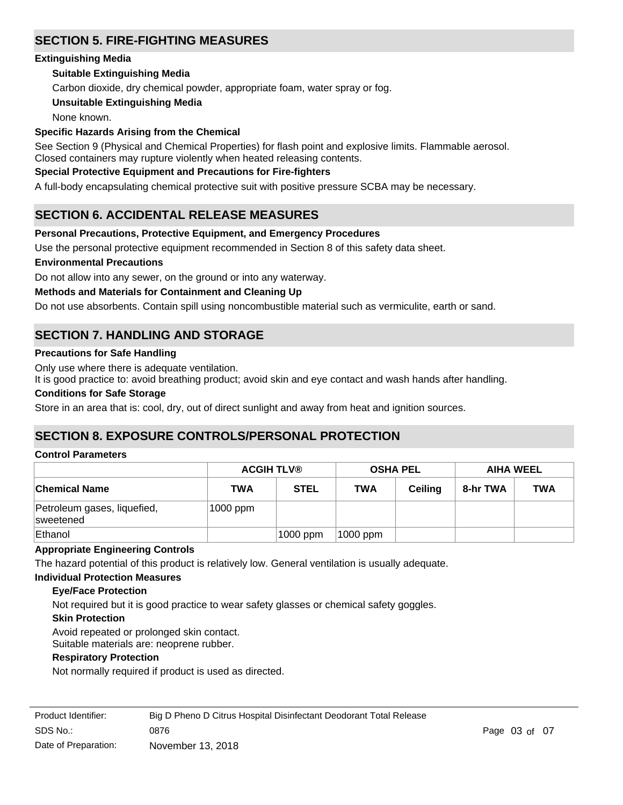# **SECTION 5. FIRE-FIGHTING MEASURES**

### **Extinguishing Media**

### **Suitable Extinguishing Media**

Carbon dioxide, dry chemical powder, appropriate foam, water spray or fog.

### **Unsuitable Extinguishing Media**

None known.

### **Specific Hazards Arising from the Chemical**

See Section 9 (Physical and Chemical Properties) for flash point and explosive limits. Flammable aerosol. Closed containers may rupture violently when heated releasing contents.

### **Special Protective Equipment and Precautions for Fire-fighters**

A full-body encapsulating chemical protective suit with positive pressure SCBA may be necessary.

# **SECTION 6. ACCIDENTAL RELEASE MEASURES**

### **Personal Precautions, Protective Equipment, and Emergency Procedures**

Use the personal protective equipment recommended in Section 8 of this safety data sheet.

### **Environmental Precautions**

Do not allow into any sewer, on the ground or into any waterway.

### **Methods and Materials for Containment and Cleaning Up**

Do not use absorbents. Contain spill using noncombustible material such as vermiculite, earth or sand.

# **SECTION 7. HANDLING AND STORAGE**

### **Precautions for Safe Handling**

Only use where there is adequate ventilation.

It is good practice to: avoid breathing product; avoid skin and eye contact and wash hands after handling.

#### **Conditions for Safe Storage**

Store in an area that is: cool, dry, out of direct sunlight and away from heat and ignition sources.

### **SECTION 8. EXPOSURE CONTROLS/PERSONAL PROTECTION**

#### **Control Parameters**

|                                          | <b>ACGIH TLV®</b> |             | <b>OSHA PEL</b> |                | <b>AIHA WEEL</b> |            |
|------------------------------------------|-------------------|-------------|-----------------|----------------|------------------|------------|
| ∣Chemical Name                           | TWA               | <b>STEL</b> | <b>TWA</b>      | <b>Ceiling</b> | 8-hr TWA         | <b>TWA</b> |
| Petroleum gases, liquefied,<br>sweetened | 1000 ppm          |             |                 |                |                  |            |
| Ethanol                                  |                   | 1000 ppm    | 1000 ppm        |                |                  |            |

### **Appropriate Engineering Controls**

The hazard potential of this product is relatively low. General ventilation is usually adequate.

#### **Individual Protection Measures**

#### **Eye/Face Protection**

Not required but it is good practice to wear safety glasses or chemical safety goggles.

### **Skin Protection**

Avoid repeated or prolonged skin contact.

Suitable materials are: neoprene rubber.

#### **Respiratory Protection**

Not normally required if product is used as directed.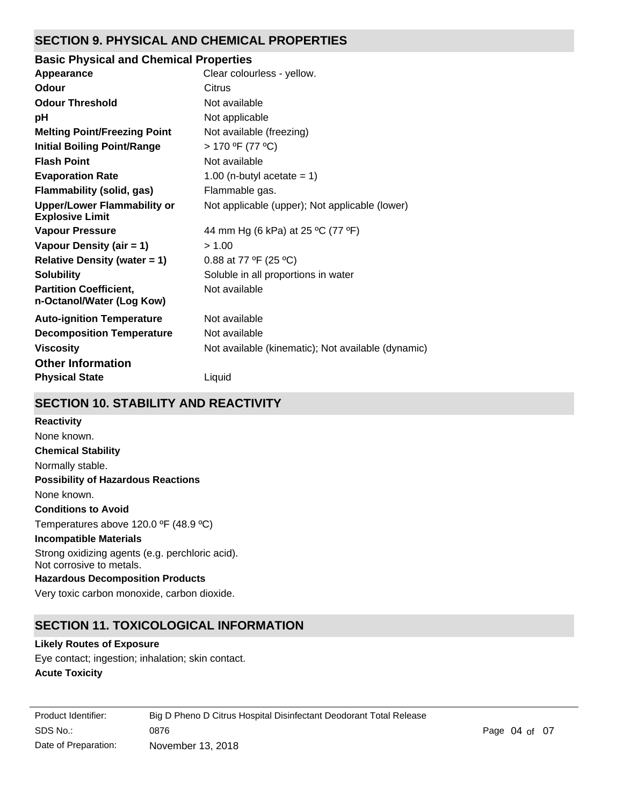# **SECTION 9. PHYSICAL AND CHEMICAL PROPERTIES**

### **pH** Not applicable **Appearance** Clear colourless - yellow. **Partition Coefficient, n-Octanol/Water (Log Kow)** Not available **Odour** Citrus **Vapour Pressure** 44 mm Hg (6 kPa) at 25 °C (77 °F) **Odour Threshold** Not available **Vapour Density (air = 1)** > 1.00 **Initial Boiling Point/Range** > 170 ºF (77 ºC) **Evaporation Rate** 1.00 (n-butyl acetate = 1) **Flash Point** Not available **Melting Point/Freezing Point** Not available (freezing) **Relative Density (water = 1)** 0.88 at 77  $\textdegree$  (25  $\textdegree$ C) **Upper/Lower Flammability or Explosive Limit** Not applicable (upper); Not applicable (lower) **Solubility** Soluble in all proportions in water **Auto-ignition Temperature** Not available **Decomposition Temperature** Not available **Viscosity Not available (kinematic); Not available (dynamic) Not available (dynamic) Basic Physical and Chemical Properties Physical State** Liquid **Other Information Flammability (solid, gas)** Flammable gas.

# **SECTION 10. STABILITY AND REACTIVITY**

# **Chemical Stability** Normally stable. **Conditions to Avoid** Temperatures above 120.0 ºF (48.9 ºC) **Incompatible Materials** Strong oxidizing agents (e.g. perchloric acid). Not corrosive to metals. **Hazardous Decomposition Products** Very toxic carbon monoxide, carbon dioxide. **Possibility of Hazardous Reactions** None known. **Reactivity** None known.

# **SECTION 11. TOXICOLOGICAL INFORMATION**

### **Likely Routes of Exposure**

**Acute Toxicity** Eye contact; ingestion; inhalation; skin contact.

| Product Identifier:  | Big D Pheno D Citrus Hospital Disinfectant Deodorant Total Release |
|----------------------|--------------------------------------------------------------------|
| SDS No.:             | 0876                                                               |
| Date of Preparation: | November 13, 2018                                                  |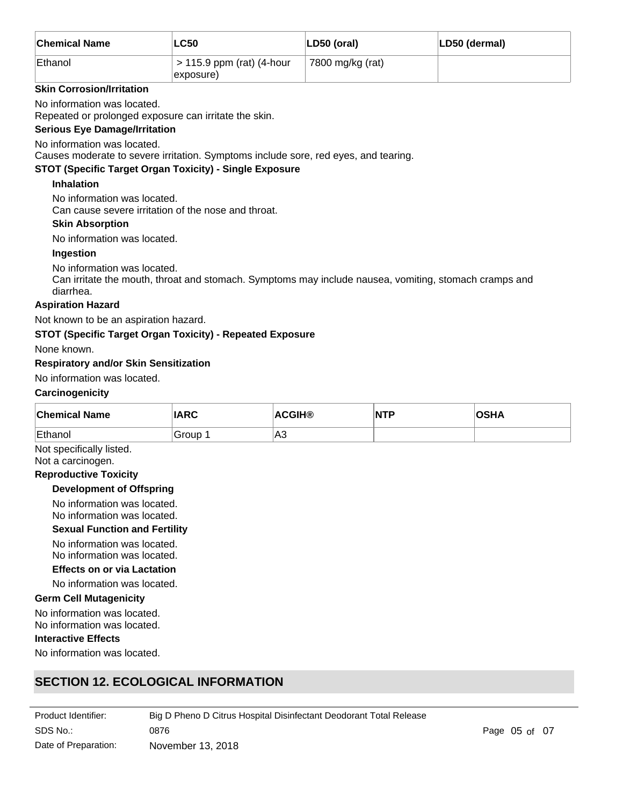| ∣Chemical Name | LC50                                     | LD50 (oral)      | LD50 (dermal) |
|----------------|------------------------------------------|------------------|---------------|
| Ethanol        | $>$ 115.9 ppm (rat) (4-hour<br>exposure) | 7800 mg/kg (rat) |               |

### **Skin Corrosion/Irritation**

No information was located.

Repeated or prolonged exposure can irritate the skin.

### **Serious Eye Damage/Irritation**

No information was located.

Causes moderate to severe irritation. Symptoms include sore, red eyes, and tearing.

### **STOT (Specific Target Organ Toxicity) - Single Exposure**

### **Inhalation**

No information was located. Can cause severe irritation of the nose and throat.

### **Skin Absorption**

No information was located.

### **Ingestion**

No information was located.

Can irritate the mouth, throat and stomach. Symptoms may include nausea, vomiting, stomach cramps and diarrhea.

### **Aspiration Hazard**

Not known to be an aspiration hazard.

### **STOT (Specific Target Organ Toxicity) - Repeated Exposure**

None known.

### **Respiratory and/or Skin Sensitization**

No information was located.

#### **Carcinogenicity**

| <b>Chemical Name</b> | <b>IARC</b> | <b>ACGIH®</b> | $\overline{\mathsf{NTP}}$ | <b>OSHA</b> |
|----------------------|-------------|---------------|---------------------------|-------------|
| Ethanol              | Group       | ∣A3           |                           |             |

Not specifically listed.

# Not a carcinogen.

### **Reproductive Toxicity**

### **Development of Offspring**

No information was located. No information was located.

#### **Sexual Function and Fertility**

No information was located.

No information was located.

**Effects on or via Lactation**

No information was located.

### **Germ Cell Mutagenicity**

No information was located. No information was located.

### **Interactive Effects**

No information was located.

# **SECTION 12. ECOLOGICAL INFORMATION**

| Product Identifier:  | Big D Pheno D Citrus Hospital Disinfectant Deodorant Total Release |               |  |
|----------------------|--------------------------------------------------------------------|---------------|--|
| SDS No.:             | 0876                                                               | Page 05 of 07 |  |
| Date of Preparation: | November 13, 2018                                                  |               |  |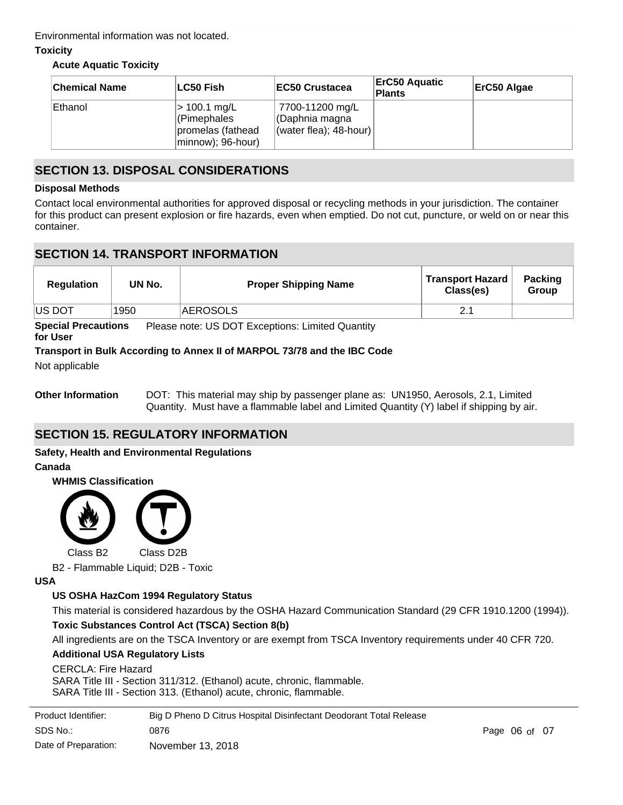Environmental information was not located.

### **Toxicity**

### **Acute Aquatic Toxicity**

| <b>Chemical Name</b> | ∣LC50 Fish                                                            | <b>IEC50 Crustacea</b>                                      | <b>ErC50 Aquatic</b><br>Plants | ErC50 Algae |
|----------------------|-----------------------------------------------------------------------|-------------------------------------------------------------|--------------------------------|-------------|
| Ethanol              | > 100.1 mg/L<br>(Pimephales<br>promelas (fathead<br>minnow); 96-hour) | 7700-11200 mg/L<br>CDaphnia magna<br>(water flea); 48-hour) |                                |             |

### **SECTION 13. DISPOSAL CONSIDERATIONS**

### **Disposal Methods**

Contact local environmental authorities for approved disposal or recycling methods in your jurisdiction. The container for this product can present explosion or fire hazards, even when emptied. Do not cut, puncture, or weld on or near this container.

### **SECTION 14. TRANSPORT INFORMATION**

| <b>Regulation</b> | UN No. | <b>Proper Shipping Name</b> | <b>Transport Hazard</b><br>Class(es) | <b>Packing</b><br><b>Group</b> |
|-------------------|--------|-----------------------------|--------------------------------------|--------------------------------|
| <b>US DOT</b>     | 1950   | AEROSOLS                    |                                      |                                |

**Special Precautions** Please note: US DOT Exceptions: Limited Quantity

### **for User**

### **Transport in Bulk According to Annex II of MARPOL 73/78 and the IBC Code**

Not applicable

**Other Information** DOT: This material may ship by passenger plane as: UN1950, Aerosols, 2.1, Limited Quantity. Must have a flammable label and Limited Quantity (Y) label if shipping by air.

# **SECTION 15. REGULATORY INFORMATION**

### **Safety, Health and Environmental Regulations**

**Canada**





B2 - Flammable Liquid; D2B - Toxic

**USA**

### **US OSHA HazCom 1994 Regulatory Status**

This material is considered hazardous by the OSHA Hazard Communication Standard (29 CFR 1910.1200 (1994)). **Toxic Substances Control Act (TSCA) Section 8(b)**

All ingredients are on the TSCA Inventory or are exempt from TSCA Inventory requirements under 40 CFR 720.

### **Additional USA Regulatory Lists**

### CERCLA: Fire Hazard

SARA Title III - Section 311/312. (Ethanol) acute, chronic, flammable. SARA Title III - Section 313. (Ethanol) acute, chronic, flammable.

| Product Identifier:  | Big D Pheno D Citrus Hospital Disinfectant Deodorant Total Release |                   |  |
|----------------------|--------------------------------------------------------------------|-------------------|--|
| SDS No.:             | 0876                                                               | Page $06$ of $07$ |  |
| Date of Preparation: | November 13, 2018                                                  |                   |  |